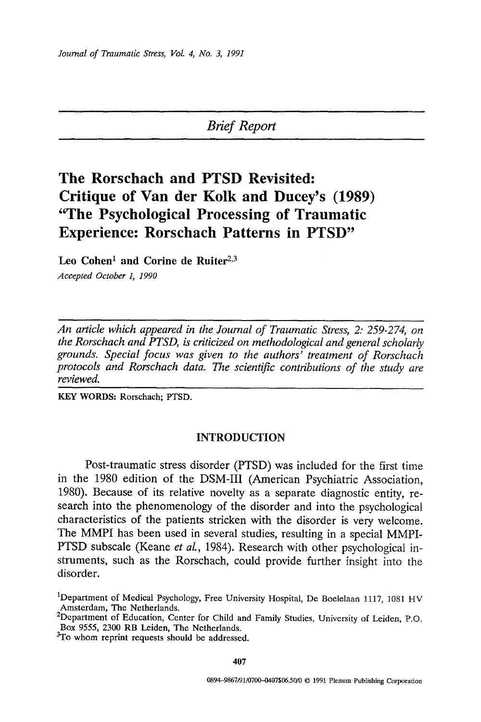# **The Rorschach and PTSD Revisited: Critique of Van der Kolk and Ducey's (1989) "The Psychological Processing of Traumatic Experience: Rorschach Patterns in PTSD"**

Leo Cohen<sup>1</sup> and Corine de Ruiter<sup>2,3</sup>

*Accepted October 1, 1990* 

*An article which appeared in the Journal of Traumatic Stress, 2: 259-274, on the Rorschach and PTSD, is criticized on methodological and general scholarly grounds. Special focus was given to the authors' treatment of Rorschach protocols and Rorschach data. The scientific contributions of the study are reviewed.* 

KEY **WORDS: Rorschach;** PTSD.

## INTRODUCTION

Post-traumatic stress disorder (PTSD) was included for the first time in the 1980 edition of the DSM-III (American Psychiatric Association, 1980). Because of its relative novelty as a separate diagnostic entity, research into the phenomenology of the disorder and into the psychological characteristics of the patients stricken with the disorder is very welcome. The MMPI has been used in several studies, resulting in a special MMPI-PTSD subscale (Keane *et al.,* 1984). Research with other psychological instruments, such as the Rorschach, could provide further insight into the disorder.

<sup>3</sup>To whom reprint requests should be addressed.

<sup>&</sup>lt;sup>1</sup>Department of Medical Psychology, Free University Hospital, De Boelelaan 1117, 1081 HV Amsterdam, The Netherlands.

<sup>2</sup>Department of Education, Center for Child and Family Studies, University of Leiden, P.O. Box 9555, 2300 RB Leiden, The Netherlands.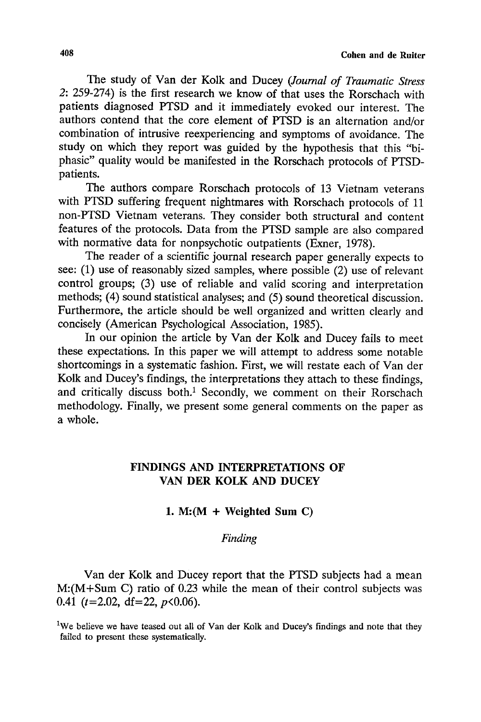The study of Van der Kolk and Ducey *(Journal of Traumatic Stress*  2: 259-274) is the first research we know of that uses the Rorschach with patients diagnosed PTSD and it immediately evoked our interest. The authors contend that the core element of PTSD is an alternation and/or combination of intrusive reexperiencing and symptoms of avoidance. The study on which they report was guided by the hypothesis that this "biphasic" quality would be manifested in the Rorschach protocols of PTSDpatients.

The authors compare Rorschach protocols of 13 Vietnam veterans with PTSD suffering frequent nightmares with Rorschach protocols of 11 non-PTSD Vietnam veterans. They consider both structural and content features of the protocols. Data from the PTSD sample are also compared with normative data for nonpsychotic outpatients (Exner, 1978).

The reader of a scientific journal research paper generally expects to see: (1) use of reasonably sized samples, where possible (2) use of relevant control groups; (3) use of reliable and valid scoring and interpretation methods; (4) sound statistical analyses; and (5) sound theoretical discussion. Furthermore, the article should be well organized and written clearly and concisely (American Psychological Association, 1985).

In our opinion the article by Van der Kolk and Ducey fails to meet these expectations. In this paper we will attempt to address some notable shortcomings in a systematic fashion. First, we will restate each of Van der Kolk and Ducey's findings, the interpretations they attach to these findings, and critically discuss both.<sup>1</sup> Secondly, we comment on their Rorschach methodology. Finally, we present some general comments on the paper as a whole.

## FINDINGS AND INTERPRETATIONS OF VAN DER KOLK AND DUCEY

## **1. M:(M + Weighted Sum C)**

## *Finding*

Van der Kolk and Ducey report that the PTSD subjects had a mean M:(M+Sum C) ratio of 0.23 while the mean of their control subjects was 0.41 ( $t=2.02$ , df=22,  $p<0.06$ ).

<sup>&</sup>lt;sup>1</sup>We believe we have teased out all of Van der Kolk and Ducey's findings and note that they failed to present these systematically.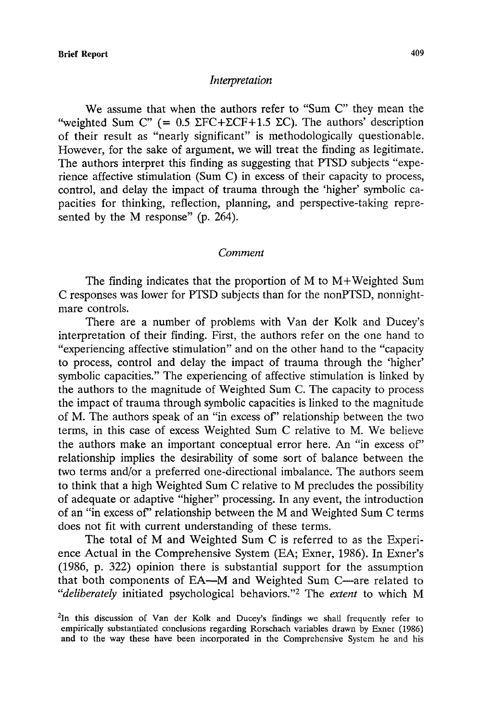## *Interpretation*

We assume that when the authors refer to "Sum C" they mean the "weighted Sum C" (=  $0.5 \Sigma F C + \Sigma C F + 1.5 \Sigma C$ ). The authors' description of their result as "nearly significant" is methodologically questionable. However, for the sake of argument, we will treat the finding as legitimate. The authors interpret this finding as suggesting that PTSD subjects "experience affective stimulation (Sum C) in excess of their capacity to process, control, and delay the impact of trauma through the 'higher' symbolic capacities for thinking, reflection, planning, and perspective-taking represented by the M response" (p. 264).

## *Comment*

The finding indicates that the proportion of M to M+Weighted Sum C responses was lower for PTSD subjects than for the nonPTSD, nonnightmare controls.

There are a number of problems with Van der Kolk and Ducey's interpretation of their finding. First, the authors refer on the one hand to "experiencing affective stimulation" and on the other hand to the "capacity to process, control and delay the impact of trauma through the 'higher' symbolic capacities." The experiencing of affective stimulation is linked by the authors to the magnitude of Weighted Sum C. The capacity to process the impact of trauma through symbolic capacities is linked to the magnitude of M. The authors speak of an "in excess of" relationship between the two terms, in this case of excess Weighted Sum C relative to M. We believe the authors make an important conceptual error here. An "in excess of" relationship implies the desirability of some sort of balance between the two terms and/or a preferred one-directional imbalance. The authors seem to think that a high Weighted Sum C relative to M precludes the possibility of adequate or adaptive "higher" processing. In any event, the introduction of an "in excess of" relationship between the M and Weighted Sum C terms does not fit with current understanding of these terms.

The total of M and Weighted Sum C is referred to as the Experience Actual in the Comprehensive System (EA; Exner, 1986). In Exner's (1986, p. 322) opinion there is substantial support for the assumption that both components of EA--M and Weighted Sum C--are related to *"deliberately* initiated psychological behaviors. ''2 The *extent* to which M

 ${}^{2}$ In this discussion of Van der Kolk and Ducey's findings we shall frequently refer to empirically substantiated conclusions regarding Rorschach variables drawn by Exner (1986) and to the way these have been incorporated in the Comprehensive System he and his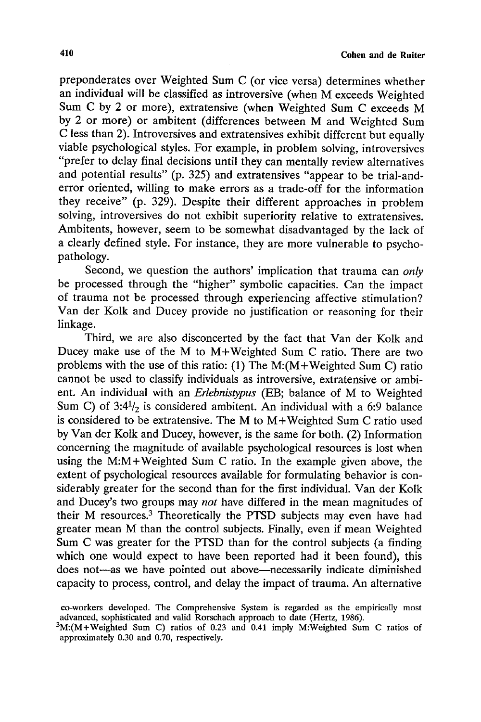preponderates over Weighted Sum C (or vice versa) determines whether an individual will be classified as introversive (when M exceeds Weighted Sum C by 2 or more), extratensive (when Weighted Sum C exceeds M by 2 or more) or ambitent (differences between M and Weighted Sum C less than 2). Introversives and extratensives exhibit different but equally viable psychological styles. For example, in problem solving, introversives "prefer to delay final decisions until they can mentally review alternatives and potential results" (p. 325) and extratensives "appear to be trial-anderror oriented, willing to make errors as a trade-off for the information they receive" (p. 329). Despite their different approaches in problem solving, introversives do not exhibit superiority relative to extratensives. Ambitents, however, seem to be somewhat disadvantaged by the lack of a clearly defined style. For instance, they are more vulnerable to psychopathology.

Second, we question the authors' implication that trauma can *only*  be processed through the "higher" symbolic capacities. Can the impact of trauma not be processed through experiencing affective stimulation? Van der Kolk and Ducey provide no justification or reasoning for their linkage.

Third, we are also disconcerted by the fact that Van der Kolk and Ducey make use of the M to M+Weighted Sum C ratio. There are two problems with the use of this ratio: (1) The M: $(M+Weighted Sum C)$  ratio cannot be used to classify individuals as introversive, extratensive or ambient. An individual with an *Erlebnistypus* (EB; balance of M to Weighted Sum C) of  $3:4\frac{1}{2}$  is considered ambitent. An individual with a 6:9 balance is considered to be extratensive. The M to M+Weighted Sum C ratio used by Van der Kolk and Ducey, however, is the same for both. (2) Information concerning the magnitude of available psychological resources is lost when using the M:M+Weighted Sum C ratio. In the example given above, the extent of psychological resources available for formulating behavior is considerably greater for the second than for the first individual. Van der Kolk and Ducey's two groups may *not* have differed in the mean magnitudes of their M resources.<sup>3</sup> Theoretically the PTSD subjects may even have had greater mean M than the control subjects. Finally, even if mean Weighted Sum C was greater for the PTSD than for the control subjects (a finding which one would expect to have been reported had it been found), this does not-as we have pointed out above-necessarily indicate diminished capacity to process, control, and delay the impact of trauma. An alternative

co-workers developed. The Comprehensive System is regarded as the empirically most advanced, sophisticated and valid Rorschach approach to date (Hertz, 1986).

 $3M:(M+Weighted Sum C)$  ratios of 0.23 and 0.41 imply M:Weighted Sum C ratios of approximately 0.30 and 0.70, respectively.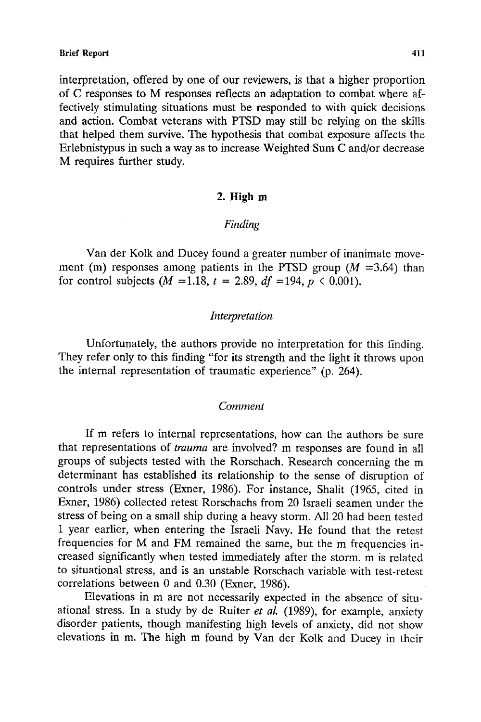interpretation, offered by one of our reviewers, is that a higher proportion of C responses to M responses reflects an adaptation to combat where affectively stimulating situations must be responded to with quick decisions and action. Combat veterans with PTSD may still be relying on the skills that helped them survive. The hypothesis that combat exposure affects the Erlebnistypus in such a way as to increase Weighted Sum C and/or decrease M requires further study.

## **2. High m**

## *Finding*

Van der Kolk and Ducey found a greater number of inanimate movement (m) responses among patients in the PTSD group  $(M = 3.64)$  than for control subjects  $(M = 1.18, t = 2.89, df = 194, p < 0.001$ .

## *Interpretation*

Unfortunately, the authors provide no interpretation for this finding. They refer only to this finding "for its strength and the light it throws upon the internal representation of traumatic experience" (p. 264).

#### *Comment*

If m refers to internal representations, how can the authors be sure that representations of *trauma* are involved? m responses are found in all groups of subjects tested with the Rorschach. Research concerning the m determinant has established its relationship to the sense of disruption of controls under stress (Exner, 1986). For instance, Shalit (1965, cited in Exner, 1986) collected retest Rorschachs from 20 Israeli seamen under the stress of being on a small ship during a heavy storm. All 20 had been tested 1 year earlier, when entering the Israeli Navy. He found that the retest frequencies for M and FM remained the same, but the m frequencies increased significantly when tested immediately after the storm, m is related to situational stress, and is an unstable Rorschach variable with test-retest correlations between 0 and 0.30 (Exner, 1986).

Elevations in m are not necessarily expected in the absence of situational stress. In a study by de Ruiter *et al.* (1989), for example, anxiety disorder patients, though manifesting high levels of anxiety, did not show elevations in m. The high m found by Van der Kolk and Ducey in their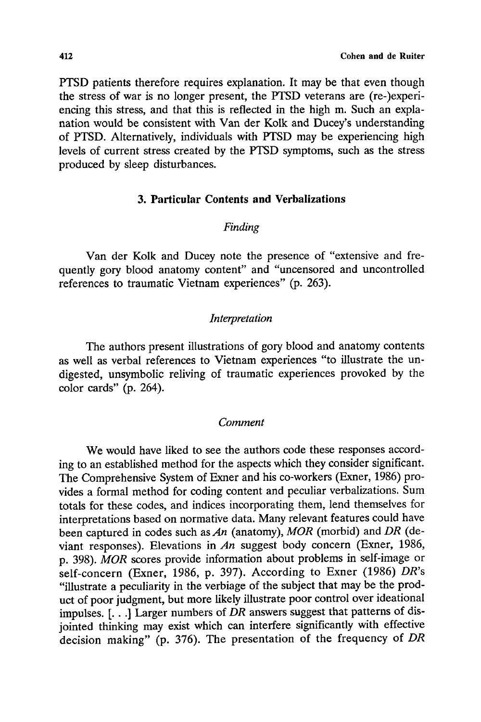PTSD patients therefore requires explanation. It may be that even though the stress of war is no longer present, the PTSD veterans are (re-)experiencing this stress, and that this is reflected in the high m. Such an explanation would be consistent with Van der Kolk and Ducey's understanding of PTSD. Alternatively, individuals with PTSD may be experiencing high levels of current stress created by the PTSD symptoms, such as the stress produced by sleep disturbances.

## **3. Particular Contents and Verbalizations**

## *Finding*

Van der Kolk and Ducey note the presence of "extensive and frequently gory blood anatomy content" and "uncensored and uncontrolled references to traumatic Vietnam experiences" (p. 263).

## *Interpretation*

The authors present illustrations of gory blood and anatomy contents as well as verbal references to Vietnam experiences "to illustrate the undigested, unsymbolic reliving of traumatic experiences provoked by the color cards" (p. 264).

## *Comment*

We would have liked to see the authors code these responses according to an established method for the aspects which they consider significant. The Comprehensive System of Exner and his co-workers (Exner, 1986) provides a formal method for coding content and peculiar verbalizations. Sum totals for these codes, and indices incorporating them, lend themselves for interpretations based on normative data. Many relevant features could have been captured in codes such as *An* (anatomy), *MOR* (morbid) and *DR* (deviant responses). Elevations in *An* suggest body concern (Exner, 1986, p. 398). *MOR* scores provide information about problems in self-image or self-concern (Exner, 1986, p. 397). According to Exner (1986) *DR's*  "illustrate a peculiarity in the verbiage of the subject that may be the product of poor judgment, but more likely illustrate poor control over ideational impulses. [...] Larger numbers of *DR* answers suggest that patterns of disjointed thinking may exist which can interfere significantly with effective decision making" (p. 376). The presentation of the frequency of *DR*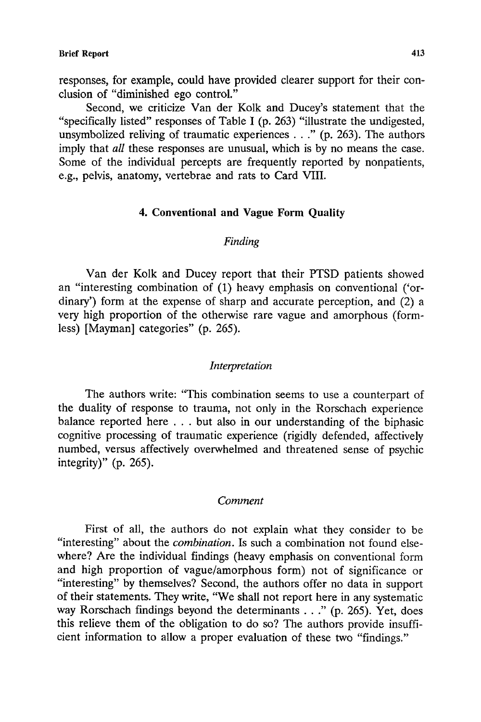responses, for example, could have provided clearer support for their conclusion of "diminished ego control."

Second, we criticize Van der Kolk and Ducey's statement that the "specifically listed" responses of Table I (p. 263) "illustrate the undigested, unsymbolized reliving of traumatic experiences..." (p. 263). The authors imply that *all* these responses are unusual, which is by no means the case. Some of the individual percepts are frequently reported by nonpatients, e.g., pelvis, anatomy, vertebrae and rats to Card VIII.

## **4. Conventional and Vague Form Quality**

## *Finding*

Van der Kolk and Ducey report that their PTSD patients showed an "interesting combination of (1) heavy emphasis on conventional ('ordinary') form at the expense of sharp and accurate perception, and (2) a very high proportion of the otherwise rare vague and amorphous (formless) [Mayman] categories" (p. 265).

## *Interpretation*

The authors write: "This combination seems to use a counterpart of the duality of response to trauma, not only in the Rorschach experience balance reported here . . . but also in our understanding of the biphasic cognitive processing of traumatic experience (rigidly defended, affectively numbed, versus affectively overwhelmed and threatened sense of psychic integrity)" (p. 265).

#### *Comment*

First of all, the authors do not explain what they consider to be "interesting" about the *combination.* Is such a combination not found elsewhere? Are the individual findings (heavy emphasis on conventional form and high proportion of vague/amorphous form) not of significance or "interesting" by themselves? Second, the authors offer no data in support of their statements. They write, "We shall not report here in any systematic way Rorschach findings beyond the determinants . . ." (p. 265). Yet, does this relieve them of the obligation to do so? The authors provide insufficient information to allow a proper evaluation of these two "findings."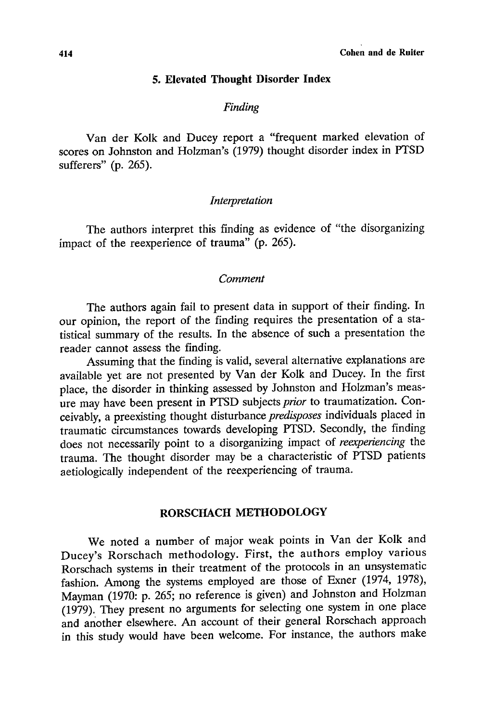## **5. Elevated Thought Disorder Index**

## *Finding*

Van der Kolk and Ducey report a "frequent marked elevation of scores on Johnston and Holzman's (1979) thought disorder index in PTSD sufferers" (p. 265).

## *Interpretation*

The authors interpret this finding as evidence of "the disorganizing impact of the reexperience of trauma" (p. 265).

## *Comment*

The authors again fail to present data in support of their finding. In our opinion, the report of the finding requires the presentation of a statistical summary of the results. In the absence of such a presentation the reader cannot assess the finding.

Assuming that the finding is valid, several alternative explanations are available yet are not presented by Van der Kolk and Ducey. In the first place, the disorder in thinking assessed by Johnston and Holzman's measure may have been present in PTSD subjects *prior* to traumatization. Conceivably, a preexisting thought disturbance *predisposes* individuals placed in traumatic circumstances towards developing PTSD. Secondly, the finding does not necessarily point to a disorganizing impact of *reexperiencing* the trauma. The thought disorder may be a characteristic of PTSD patients aetiologically independent of the reexperiencing of trauma.

## RORSCHACH METHODOLOGY

We noted a number of major weak points in Van der Kolk and Ducey's Rorschach methodology. First, the authors employ various Rorschach systems in their treatment of the protocols in an unsystematic fashion. Among the systems employed are those of Exner (1974, 1978), Mayman (1970: p. 265; no reference is given) and Johnston and Holzman (1979). They present no arguments for selecting one system in one place and another elsewhere. An account of their general Rorschach approach in this study would have been welcome. For instance, the authors make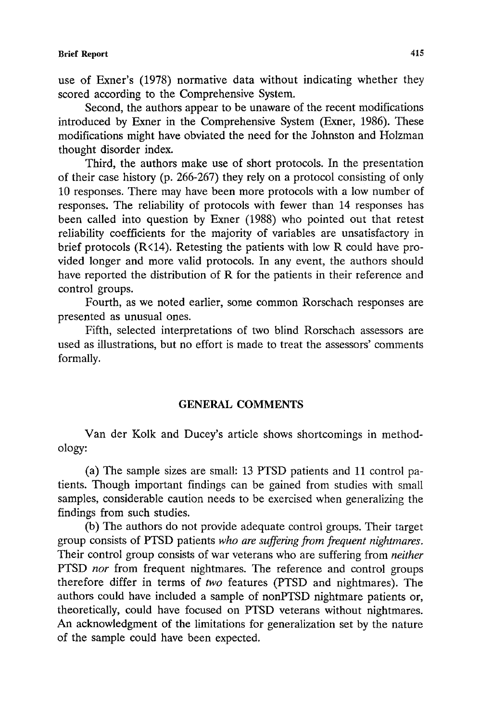use of Exner's (1978) normative data without indicating whether they scored according to the Comprehensive System.

Second, the authors appear to be unaware of the recent modifications introduced by Exner in the Comprehensive System (Exner, 1986). These modifications might have obviated the need for the Johnston and Holzman thought disorder index.

Third, the authors make use of short protocols. In the presentation of their case history (p. 266-267) they rely on a protocol consisting of only 10 responses. There may have been more protocols with a low number of responses. The reliability of protocols with fewer than 14 responses has been called into question by Exner (1988) who pointed out that retest reliability coefficients for the majority of variables are unsatisfactory in brief protocols (R<14). Retesting the patients with low R could have provided longer and more valid protocols. In any event, the authors should have reported the distribution of R for the patients in their reference and control groups.

Fourth, as we noted earlier, some common Rorschach responses are presented as unusual ones.

Fifth, selected interpretations of two blind Rorschach assessors are used as illustrations, but no effort is made to treat the assessors' comments formally.

## GENERAL COMMENTS

Van der Kolk and Ducey's article shows shortcomings in methodology:

(a) The sample sizes are small: 13 PTSD patients and 11 control patients. Though important findings can be gained from studies with small samples, considerable caution needs to be exercised when generalizing the findings from such studies.

(b) The authors do not provide adequate control groups. Their target group consists of PTSD patients *who are suffering from frequent nightmares.*  Their control group consists of war veterans who are suffering from *neither*  PTSD *nor* from frequent nightmares. The reference and control groups therefore differ in terms of two features (PTSD and nightmares). The authors could have included a sample of nonPTSD nightmare patients or, theoretically, could have focused on PTSD veterans without nightmares. An acknowledgment of the limitations for generalization set by the nature of the sample could have been expected.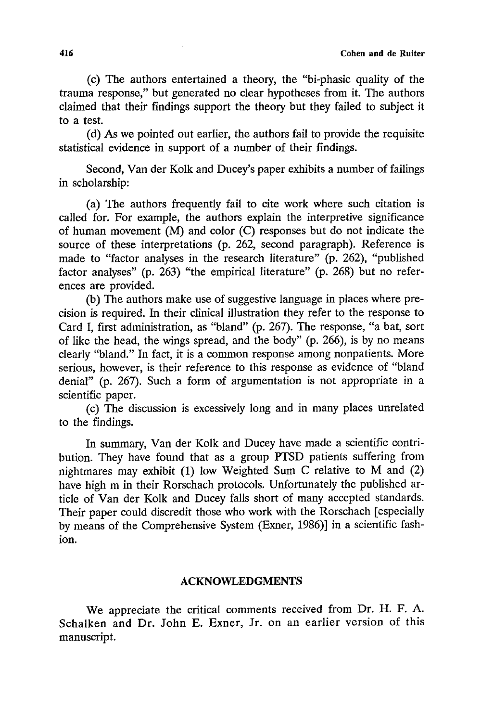(d) As we pointed out earlier, the authors fail to provide the requisite statistical evidence in support of a number of their findings.

Second, Van der Kolk and Ducey's paper exhibits a number of failings in scholarship:

(a) The authors frequently fail to cite work where such citation is called for. For example, the authors explain the interpretive significance of human movement (M) and color (C) responses but do not indicate the source of these interpretations (p.  $262$ , second paragraph). Reference is made to "factor analyses in the research literature" (p. 262), "published factor analyses" (p. 263) "the empirical literature" (p. 268) but no references are provided.

(b) The authors make use of suggestive language in places where precision is required. In their clinical illustration they refer to the response to Card I, first administration, as "bland" (p. 267). The response, "a bat, sort of like the head, the wings spread, and the body" (p. 266), is by no means clearly "bland." In fact, it is a common response among nonpatients. More serious, however, is their reference to this response as evidence of "bland denial" (p. 267). Such a form of argumentation is not appropriate in a scientific paper.

(c) The discussion is excessively long and in many places unrelated to the findings.

In summary, Van der Kolk and Ducey have made a scientific contribution. They have found that as a group PTSD patients suffering from nightmares may exhibit (1) low Weighted Sum C relative to M and (2) have high m in their Rorschach protocols. Unfortunately the published article of Van der Kolk and Ducey falls short of many accepted standards. Their paper could discredit those who work with the Rorschach [especially by means of the Comprehensive System (Exner, 1986)] in a scientific fashion.

## ACKNOWLEDGMENTS

We appreciate the critical comments received from Dr. H. F. A. Schalken and Dr. John E. Exner, Jr. on an earlier version of this manuscript.